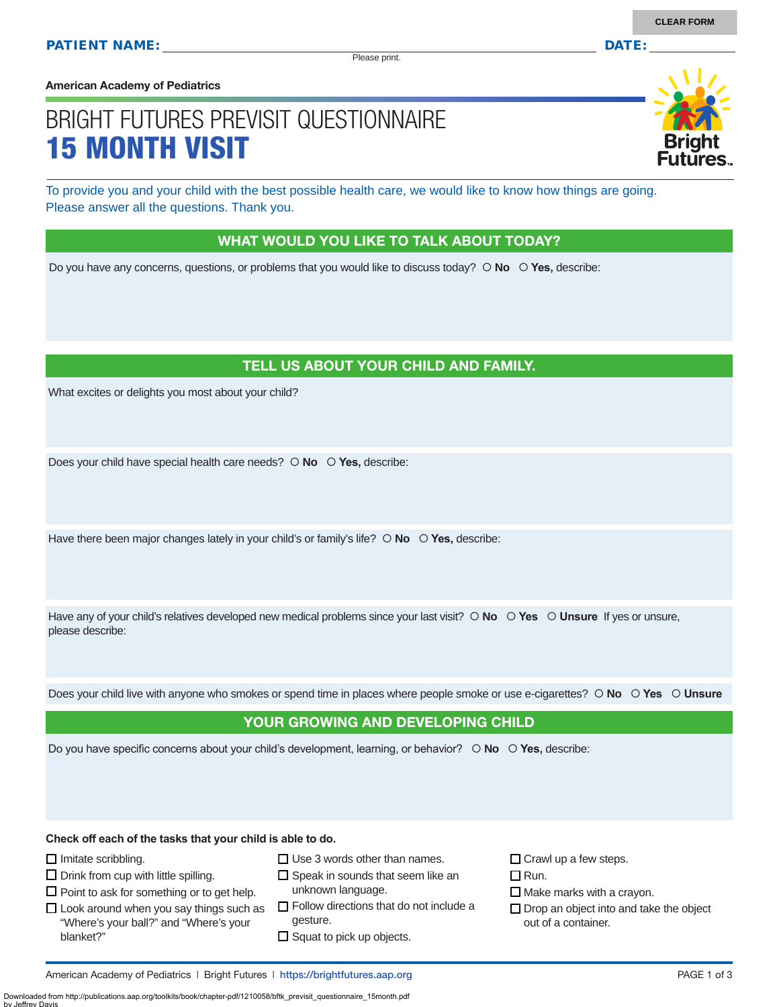Please print.

**American Academy of Pediatrics**

# BRIGHT FUTURES PREVISIT QUESTIONNAIRE 15 MONTH VISIT

To provide you and your child with the best possible health care, we would like to know how things are going. Please answer all the questions. Thank you.

#### WHAT WOULD YOU LIKE TO TALK ABOUT TODAY?

Do you have any concerns, questions, or problems that you would like to discuss today?  $\circ$  **No**  $\circ$  **Yes**, describe:

## TELL US ABOUT YOUR CHILD AND FAMILY.

What excites or delights you most about your child?

Does your child have special health care needs?  $\circ$  **No**  $\circ$  **Yes**, describe:

Have there been major changes lately in your child's or family's life?  $\circ$  No  $\circ$  Yes, describe:

Have any of your child's relatives developed new medical problems since your last visit?  $\circ$  **No**  $\circ$  **Yes**  $\circ$  **Unsure** If yes or unsure, please describe:

Does your child live with anyone who smokes or spend time in places where people smoke or use e-cigarettes?  **No Yes Unsure**

#### YOUR GROWING AND DEVELOPING CHILD

Do you have specific concerns about your child's development, learning, or behavior?  **No Yes,** describe:

**Check off each of the tasks that your child is able to do.**

 $\Box$  Imitate scribbling.

by Jeffrey Davis

 $\square$  Drink from cup with little spilling.

 $\square$  Point to ask for something or to get help.

- $\square$  Use 3 words other than names.
- $\square$  Speak in sounds that seem like an unknown language.
- $\Box$  Look around when you say things such as "Where's your ball?" and "Where's your blanket?"
	- $\Box$  Follow directions that do not include a gesture.
	- $\square$  Squat to pick up objects.

 $\Box$  Crawl up a few steps.

- $\Box$  Run.
- $\Box$  Make marks with a crayon.
- $\Box$  Drop an object into and take the object out of a container.

Downloaded from http://publications.aap.org/toolkits/book/chapter-pdf/1210058/bftk\_previsit\_questionnaire\_15month.pdf

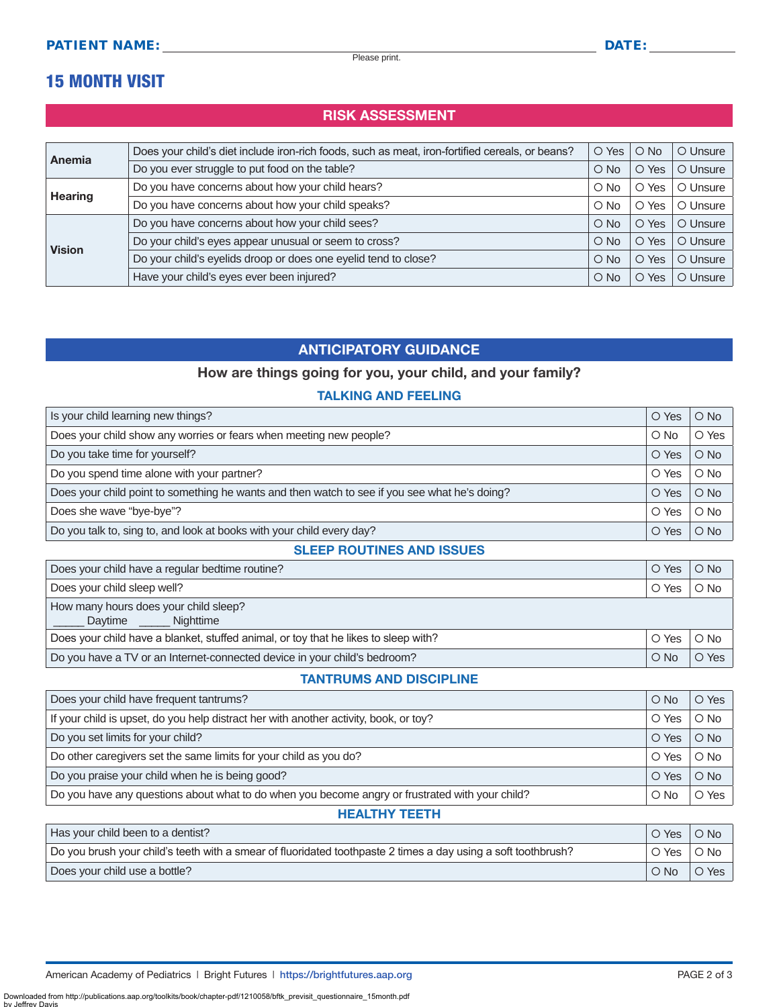Please print.

## 15 MONTH VISIT

## RISK ASSESSMENT

| <b>Anemia</b>  | Does your child's diet include iron-rich foods, such as meat, iron-fortified cereals, or beans? | $\circ$ Yes   | $\bigcirc$ No  | O Unsure |
|----------------|-------------------------------------------------------------------------------------------------|---------------|----------------|----------|
|                | Do you ever struggle to put food on the table?                                                  | $\circ$ No    | O Yes          | O Unsure |
| <b>Hearing</b> | Do you have concerns about how your child hears?                                                | $\circ$ No    | Yes<br>O       | O Unsure |
|                | Do you have concerns about how your child speaks?                                               | $\bigcirc$ No | O Yes          | O Unsure |
| <b>Vision</b>  | Do you have concerns about how your child sees?                                                 | $\bigcirc$ No | O Yes          | O Unsure |
|                | Do your child's eyes appear unusual or seem to cross?                                           | $\bigcirc$ No | O Yes          | O Unsure |
|                | Do your child's eyelids droop or does one eyelid tend to close?                                 | $\bigcirc$ No | Yes<br>$\circ$ | O Unsure |
|                | Have your child's eyes ever been injured?                                                       | $\circ$ No    | O Yes          | O Unsure |

## ANTICIPATORY GUIDANCE

## How are things going for you, your child, and your family?

### TALKING AND FEELING

| Is your child learning new things?                                                            |       | $\bigcirc$ No |
|-----------------------------------------------------------------------------------------------|-------|---------------|
| Does your child show any worries or fears when meeting new people?                            |       | O Yes         |
| Do you take time for yourself?                                                                | O Yes | $\bigcirc$ No |
| Do you spend time alone with your partner?                                                    | O Yes | $\bigcirc$ No |
| Does your child point to something he wants and then watch to see if you see what he's doing? | O Yes | $\bigcirc$ No |
| Does she wave "bye-bye"?                                                                      | O Yes | $\bigcirc$ No |
| Do you talk to, sing to, and look at books with your child every day?                         |       | $\bigcirc$ No |

#### SLEEP ROUTINES AND ISSUES

| Does your child have a regular bedtime routine?                                            | O Yes | $\bigcirc$ No |
|--------------------------------------------------------------------------------------------|-------|---------------|
| Does your child sleep well?                                                                | O Yes | $\circ$ No    |
| How many hours does your child sleep?<br>Daytime _______ Nighttime                         |       |               |
| Does your child have a blanket, stuffed animal, or toy that he likes to sleep with?        | O Yes | $\circ$ No    |
| Do you have a TV or an Internet-connected device in your child's bedroom?<br>$\bigcirc$ No |       | O Yes         |

### TANTRUMS AND DISCIPLINE

| Does your child have frequent tantrums?                                                         |            | O Yes         |  |
|-------------------------------------------------------------------------------------------------|------------|---------------|--|
| If your child is upset, do you help distract her with another activity, book, or toy?           | O Yes      | $\bigcirc$ No |  |
| Do you set limits for your child?                                                               | O Yes      | $\bigcirc$ No |  |
| Do other caregivers set the same limits for your child as you do?                               | O Yes      | $\circ$ No    |  |
| Do you praise your child when he is being good?                                                 | O Yes      | $\bigcirc$ No |  |
| Do you have any questions about what to do when you become angry or frustrated with your child? | $\circ$ No | O Yes         |  |
| HEALTHY TEETH                                                                                   |            |               |  |

| Has your child been to a dentist?                                                                             | O Yes      | $\bigcirc$ No |
|---------------------------------------------------------------------------------------------------------------|------------|---------------|
| Do you brush your child's teeth with a smear of fluoridated toothpaste 2 times a day using a soft toothbrush? |            | $\circ$ No    |
| Does your child use a bottle?                                                                                 | $\circ$ No | O Yes         |